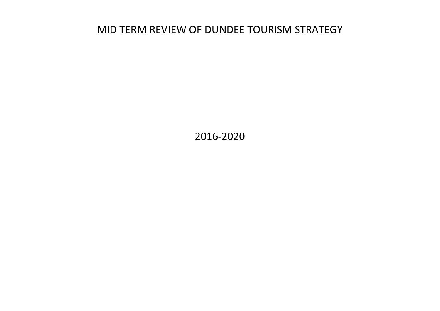# MID TERM REVIEW OF DUNDEE TOURISM STRATEGY

2016-2020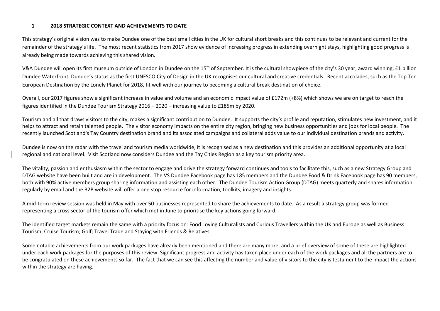#### 12018 STRATEGIC CONTEXT AND ACHIEVEMENTS TO DATE

This strategy's original vision was to make Dundee one of the best small cities in the UK for cultural short breaks and this continues to be relevant and current for the remainder of the strategy's life. The most recent statistics from 2017 show evidence of increasing progress in extending overnight stays, highlighting good progress is already being made towards achieving this shared vision.

V&A Dundee will open its first museum outside of London in Dundee on the 15<sup>th</sup> of September. It is the cultural showpiece of the city's 30 year, award winning, £1 billion Dundee Waterfront. Dundee's status as the first UNESCO City of Design in the UK recognises our cultural and creative credentials. Recent accolades, such as the Top Ten European Destination by the Lonely Planet for 2018, fit well with our journey to becoming a cultural break destination of choice.

Overall, our 2017 figures show a significant increase in value and volume and an economic impact value of £172m (+8%) which shows we are on target to reach the figures identified in the Dundee Tourism Strategy 2016 – 2020 – increasing value to £185m by 2020.

Tourism and all that draws visitors to the city, makes a significant contribution to Dundee. It supports the city's profile and reputation, stimulates new investment, and it helps to attract and retain talented people. The visitor economy impacts on the entire city region, bringing new business opportunities and jobs for local people. The recently launched Scotland's Tay Country destination brand and its associated campaigns and collateral adds value to our individual destination brands and activity.

Dundee is now on the radar with the travel and tourism media worldwide, it is recognised as a new destination and this provides an additional opportunity at a local regional and national level. Visit Scotland now considers Dundee and the Tay Cities Region as a key tourism priority area.

The vitality, passion and enthusiasm within the sector to engage and drive the strategy forward continues and tools to facilitate this, such as a new Strategy Group and DTAG website have been built and are in development. The VS Dundee Facebook page has 185 members and the Dundee Food & Drink Facebook page has 90 members, both with 90% active members group sharing information and assisting each other. The Dundee Tourism Action Group (DTAG) meets quarterly and shares information regularly by email and the B2B website will offer a one stop resource for information, toolkits, imagery and insights.

A mid-term review session was held in May with over 50 businesses represented to share the achievements to date. As a result a strategy group was formedrepresenting a cross sector of the tourism offer which met in June to prioritise the key actions going forward.

The identified target markets remain the same with a priority focus on: Food Loving Culturalists and Curious Travellers within the UK and Europe as well as Business Tourism; Cruise Tourism; Golf; Travel Trade and Staying with Friends & Relatives.

Some notable achievements from our work packages have already been mentioned and there are many more, and a brief overview of some of these are highlighted under each work packages for the purposes of this review. Significant progress and activity has taken place under each of the work packages and all the partners are to be congratulated on these achievements so far. The fact that we can see this affecting the number and value of visitors to the city is testament to the impact the actions within the strategy are having.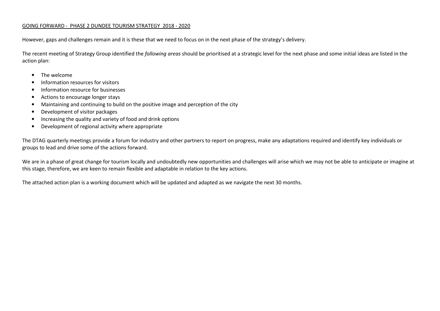#### GOING FORWARD - PHASE 2 DUNDEE TOURISM STRATEGY 2018 - 2020

However, gaps and challenges remain and it is these that we need to focus on in the next phase of the strategy's delivery.

The recent meeting of Strategy Group identified the *following areas* should be prioritised at a strategic level for the next phase and some initial ideas are listed in the action plan:

- The welcome
- $\bullet$ Information resources for visitors
- •Information resource for businesses
- $\bullet$ Actions to encourage longer stays
- •Maintaining and continuing to build on the positive image and perception of the city
- •Development of visitor packages
- •Increasing the quality and variety of food and drink options
- •Development of regional activity where appropriate

The DTAG quarterly meetings provide a forum for industry and other partners to report on progress, make any adaptations required and identify key individuals or groups to lead and drive some of the actions forward.

We are in a phase of great change for tourism locally and undoubtedly new opportunities and challenges will arise which we may not be able to anticipate or imagine at this stage, therefore, we are keen to remain flexible and adaptable in relation to the key actions.

The attached action plan is a working document which will be updated and adapted as we navigate the next 30 months.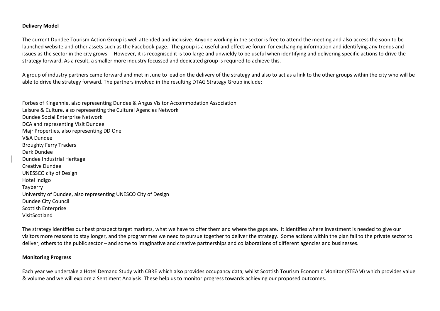#### Delivery Model

The current Dundee Tourism Action Group is well attended and inclusive. Anyone working in the sector is free to attend the meeting and also access the soon to be launched website and other assets such as the Facebook page. The group is a useful and effective forum for exchanging information and identifying any trends and issues as the sector in the city grows. However, it is recognised it is too large and unwieldy to be useful when identifying and delivering specific actions to drive the strategy forward. As a result, a smaller more industry focussed and dedicated group is required to achieve this.

A group of industry partners came forward and met in June to lead on the delivery of the strategy and also to act as a link to the other groups within the city who will be able to drive the strategy forward. The partners involved in the resulting DTAG Strategy Group include:

Forbes of Kingennie, also representing Dundee & Angus Visitor Accommodation Association Leisure & Culture, also representing the Cultural Agencies Network Dundee Social Enterprise Network DCA and representing Visit Dundee Majr Properties, also representing DD One V&A Dundee Broughty Ferry Traders Dark Dundee Dundee Industrial HeritageCreative Dundee UNESSCO city of Design Hotel Indigo Tayberry University of Dundee, also representing UNESCO City of Design Dundee City Council Scottish Enterprise VisitScotland

The strategy identifies our best prospect target markets, what we have to offer them and where the gaps are. It identifies where investment is needed to give our visitors more reasons to stay longer, and the programmes we need to pursue together to deliver the strategy. Some actions within the plan fall to the private sector to deliver, others to the public sector – and some to imaginative and creative partnerships and collaborations of different agencies and businesses.

#### Monitoring Progress

Each year we undertake a Hotel Demand Study with CBRE which also provides occupancy data; whilst Scottish Tourism Economic Monitor (STEAM) which provides value & volume and we will explore a Sentiment Analysis. These help us to monitor progress towards achieving our proposed outcomes.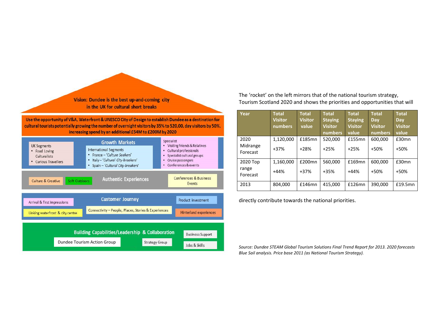Vision: Dundee is the best up-and-coming city in the UK for cultural short breaks

Use the opportunity of V&A, Waterfront & UNESCO City of Design to establish Dundee as a destination for cultural tourists potentially growing the number of overnight visitors by 35% to 520,00, day visitors by 50%, increasing spend by an additional £54M to £200M by 2020



The 'rocket' on the left mirrors that of the national tourism strategy, Tourism Scotland 2020 and shows the priorities and opportunities that will

| Year                          | <b>Total</b><br><b>Visitor</b><br>numbers | <b>Total</b><br><b>Visitor</b><br>value | <b>Total</b><br><b>Staying</b><br><b>Visitor</b><br>numbers | <b>Total</b><br><b>Staying</b><br><b>Visitor</b><br>value | <b>Total</b><br><b>Day</b><br><b>Visitor</b><br>numbers | <b>Total</b><br>Day<br><b>Visitor</b><br>value |
|-------------------------------|-------------------------------------------|-----------------------------------------|-------------------------------------------------------------|-----------------------------------------------------------|---------------------------------------------------------|------------------------------------------------|
| 2020<br>Midrange<br>Forecast  | 1,120,000<br>$+37%$                       | £185mn<br>$+28%$                        | 520,000<br>$+25%$                                           | £155mn<br>$+25%$                                          | 600,000<br>$+50%$                                       | £30mn<br>$+50%$                                |
| 2020 Top<br>range<br>Forecast | 1,160,000<br>$+44%$                       | £200mn<br>$+37%$                        | 560,000<br>$+35%$                                           | £169mn<br>$+44%$                                          | 600.000<br>$+50%$                                       | £30mn<br>$+50%$                                |
| 2013                          | 804.000                                   | £146mn                                  | 415,000                                                     | £126mn                                                    | 390,000                                                 | £19.5mn                                        |

directly contribute towards the national priorities.

Source: Dundee STEAM Global Tourism Solutions Final Trend Report for 2013. 2020 forecasts Blue Sail analysis. Price base 2011 (as National Tourism Strategy).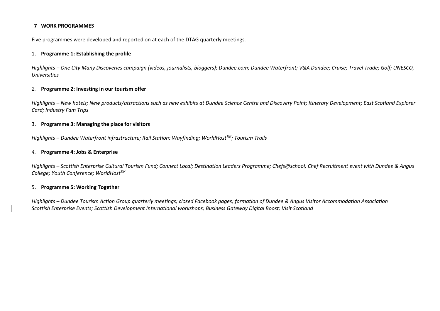#### 7 WORK PROGRAMMES

Five programmes were developed and reported on at each of the DTAG quarterly meetings.

#### 1. Programme 1: Establishing the profile

Highlights – One City Many Discoveries campaign (videos, journalists, bloggers); Dundee.com; Dundee Waterfront; V&A Dundee; Cruise; Travel Trade; Golf; UNESCO, Universities

#### 2. Programme 2: Investing in our tourism offer

Highlights – New hotels; New products/attractions such as new exhibits at Dundee Science Centre and Discovery Point; Itinerary Development; East Scotland Explorer Card; Industry Fam Trips

#### 3. Programme 3: Managing the place for visitors

Highlights – Dundee Waterfront infrastructure; Rail Station; Wayfinding; WorldHost<sup>TM</sup>; Tourism Trails

#### 4. Programme 4: Jobs & Enterprise

Highlights – Scottish Enterprise Cultural Tourism Fund; Connect Local; Destination Leaders Programme; Chefs@school; Chef Recruitment event with Dundee & Angus College; Youth Conference; WorldHost<sup>TM</sup>

#### 5. Programme 5: Working Together

Highlights – Dundee Tourism Action Group quarterly meetings; closed Facebook pages; formation of Dundee & Angus Visitor Accommodation Association Scottish Enterprise Events; Scottish Development International workshops; Business Gateway Digital Boost; Visit Scotland